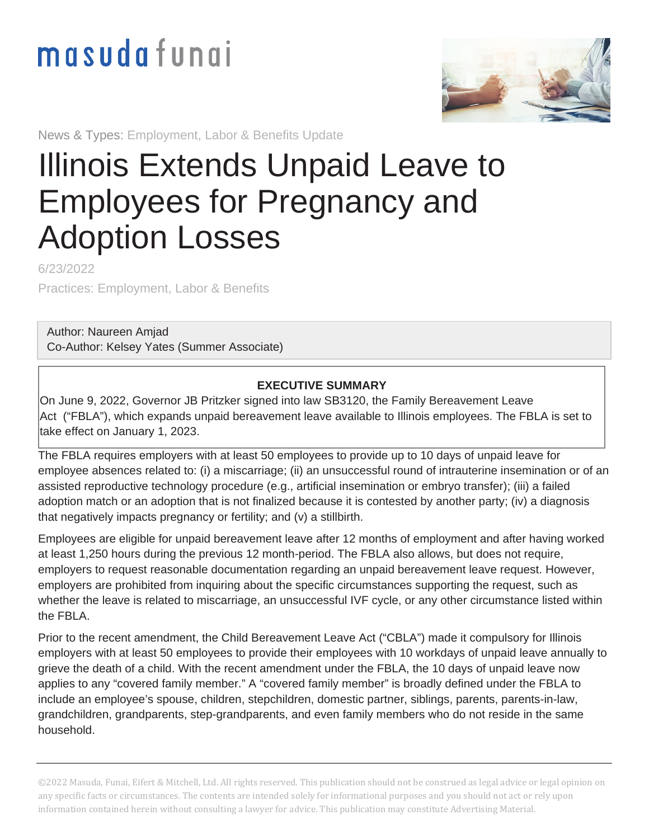## masudafungi



News & Types: Employment, Labor & Benefits Update

## Illinois Extends Unpaid Leave to Employees for Pregnancy and Adoption Losses

6/23/2022

Practices: Employment, Labor & Benefits

Author: [Naureen Amjad](https://www.masudafunai.com/people/naureen-amjad) Co-Author: Kelsey Yates (Summer Associate)

## **EXECUTIVE SUMMARY**

On June 9, 2022, Governor JB Pritzker signed into law [SB3120](https://www.illinois.gov/news/press-release.25026.html), the Family Bereavement Leave Act ("FBLA"), which expands unpaid bereavement leave available to Illinois employees. The FBLA is set to take effect on January 1, 2023.

The FBLA requires employers with at least 50 employees to provide up to 10 days of unpaid leave for employee absences related to: (i) a miscarriage; (ii) an unsuccessful round of intrauterine insemination or of an assisted reproductive technology procedure (e.g., artificial insemination or embryo transfer); (iii) a failed adoption match or an adoption that is not finalized because it is contested by another party; (iv) a diagnosis that negatively impacts pregnancy or fertility; and (v) a stillbirth.

Employees are eligible for unpaid bereavement leave after 12 months of employment and after having worked at least 1,250 hours during the previous 12 month-period. The FBLA also allows, but does not require, employers to request reasonable documentation regarding an unpaid bereavement leave request. However, employers are prohibited from inquiring about the specific circumstances supporting the request, such as whether the leave is related to miscarriage, an unsuccessful IVF cycle, or any other circumstance listed within the FBLA.

Prior to the recent amendment, the Child Bereavement Leave Act ("CBLA") made it compulsory for Illinois employers with at least 50 employees to provide their employees with 10 workdays of unpaid leave annually to grieve the death of a child. With the recent amendment under the FBLA, the 10 days of unpaid leave now applies to any "covered family member." A "covered family member" is broadly defined under the FBLA to include an employee's spouse, children, stepchildren, domestic partner, siblings, parents, parents-in-law, grandchildren, grandparents, step-grandparents, and even family members who do not reside in the same household.

©2022 Masuda, Funai, Eifert & Mitchell, Ltd. All rights reserved. This publication should not be construed as legal advice or legal opinion on any specific facts or circumstances. The contents are intended solely for informational purposes and you should not act or rely upon information contained herein without consulting a lawyer for advice. This publication may constitute Advertising Material.